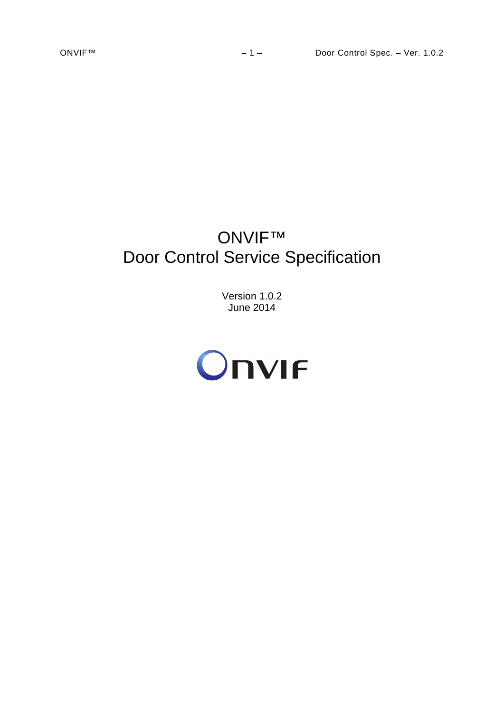# ONVIF™ Door Control Service Specification

Version 1.0.2 June 2014

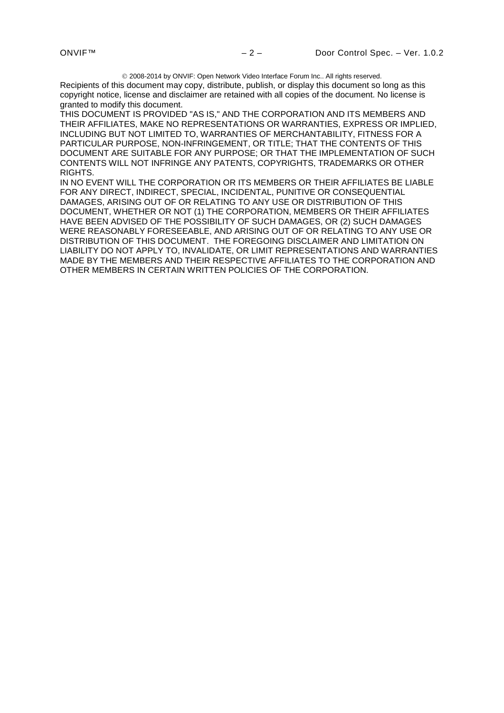2008-2014 by ONVIF: Open Network Video Interface Forum Inc.. All rights reserved.

Recipients of this document may copy, distribute, publish, or display this document so long as this copyright notice, license and disclaimer are retained with all copies of the document. No license is granted to modify this document.

THIS DOCUMENT IS PROVIDED "AS IS," AND THE CORPORATION AND ITS MEMBERS AND THEIR AFFILIATES, MAKE NO REPRESENTATIONS OR WARRANTIES, EXPRESS OR IMPLIED, INCLUDING BUT NOT LIMITED TO, WARRANTIES OF MERCHANTABILITY, FITNESS FOR A PARTICULAR PURPOSE, NON-INFRINGEMENT, OR TITLE; THAT THE CONTENTS OF THIS DOCUMENT ARE SUITABLE FOR ANY PURPOSE; OR THAT THE IMPLEMENTATION OF SUCH CONTENTS WILL NOT INFRINGE ANY PATENTS, COPYRIGHTS, TRADEMARKS OR OTHER RIGHTS.

IN NO EVENT WILL THE CORPORATION OR ITS MEMBERS OR THEIR AFFILIATES BE LIABLE FOR ANY DIRECT, INDIRECT, SPECIAL, INCIDENTAL, PUNITIVE OR CONSEQUENTIAL DAMAGES, ARISING OUT OF OR RELATING TO ANY USE OR DISTRIBUTION OF THIS DOCUMENT, WHETHER OR NOT (1) THE CORPORATION, MEMBERS OR THEIR AFFILIATES HAVE BEEN ADVISED OF THE POSSIBILITY OF SUCH DAMAGES, OR (2) SUCH DAMAGES WERE REASONABLY FORESEEABLE, AND ARISING OUT OF OR RELATING TO ANY USE OR DISTRIBUTION OF THIS DOCUMENT. THE FOREGOING DISCLAIMER AND LIMITATION ON LIABILITY DO NOT APPLY TO, INVALIDATE, OR LIMIT REPRESENTATIONS AND WARRANTIES MADE BY THE MEMBERS AND THEIR RESPECTIVE AFFILIATES TO THE CORPORATION AND OTHER MEMBERS IN CERTAIN WRITTEN POLICIES OF THE CORPORATION.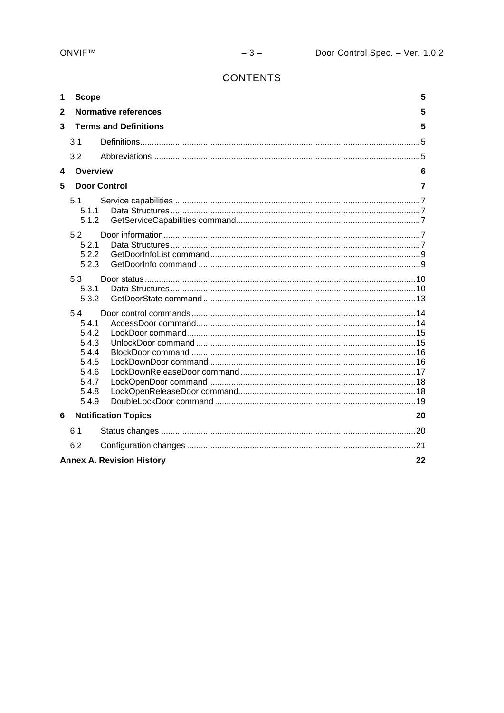# **CONTENTS**

| 1            | <b>Scope</b>                                                                         |                                  | 5 |  |
|--------------|--------------------------------------------------------------------------------------|----------------------------------|---|--|
| $\mathbf{2}$ |                                                                                      | <b>Normative references</b>      | 5 |  |
| 3            |                                                                                      | <b>Terms and Definitions</b>     | 5 |  |
|              | 3.1                                                                                  |                                  |   |  |
|              | 3.2                                                                                  |                                  |   |  |
| 4            | Overview                                                                             |                                  | 6 |  |
| 5            |                                                                                      | <b>Door Control</b>              | 7 |  |
|              | 5.1<br>5.1.1<br>5.1.2                                                                |                                  |   |  |
|              | 5.2<br>5.2.1<br>5.2.2<br>5.2.3                                                       |                                  |   |  |
|              | 5.3<br>5.3.1<br>5.3.2                                                                |                                  |   |  |
|              | 5.4<br>5.4.1<br>5.4.2<br>5.4.3<br>5.4.4<br>5.4.5<br>5.4.6<br>5.4.7<br>5.4.8<br>5.4.9 |                                  |   |  |
| 6            |                                                                                      | <b>Notification Topics</b><br>20 |   |  |
|              | 6.1                                                                                  |                                  |   |  |
|              | 6.2                                                                                  |                                  |   |  |
|              | <b>Annex A. Revision History</b><br>22                                               |                                  |   |  |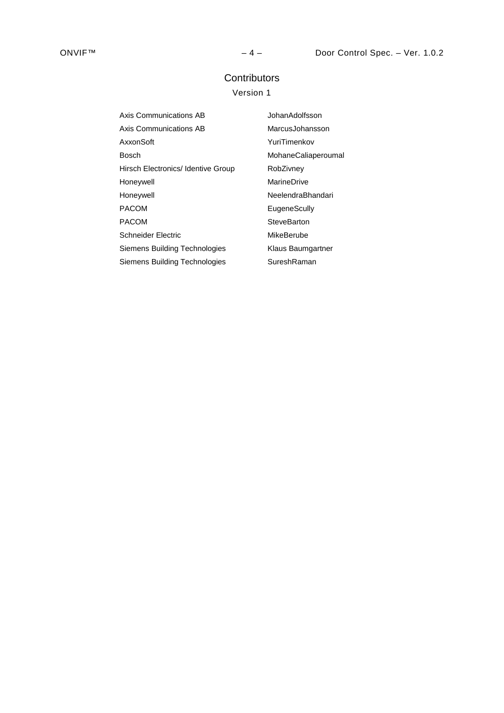# **Contributors**

# Version 1

| Axis Communications AB             | JohanAdolfsson      |
|------------------------------------|---------------------|
| Axis Communications AB             | MarcusJohansson     |
| AxxonSoft                          | YuriTimenkov        |
| Bosch                              | MohaneCaliaperoumal |
| Hirsch Electronics/ Identive Group | RobZivney           |
| Honeywell                          | MarineDrive         |
| Honeywell                          | NeelendraBhandari   |
| <b>PACOM</b>                       | EugeneScully        |
| <b>PACOM</b>                       | SteveBarton         |
| Schneider Electric                 | MikeBerube          |
| Siemens Building Technologies      | Klaus Baumgartner   |
| Siemens Building Technologies      | SureshRaman         |
|                                    |                     |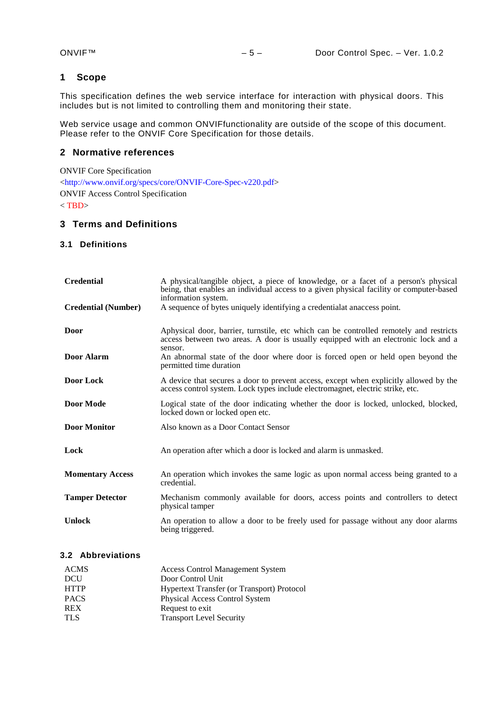## <span id="page-4-0"></span>**1 Scope**

This specification defines the web service interface for interaction with physical doors. This includes but is not limited to controlling them and monitoring their state.

Web service usage and common ONVIFfunctionality are outside of the scope of this document. Please refer to the ONVIF Core Specification for those details.

## <span id="page-4-1"></span>**2 Normative references**

ONVIF Core Specification [<http://www.onvif.org/specs/core/ONVIF-Core-Spec-v220.pdf>](http://www.onvif.org/specs/core/ONVIF-Core-Spec-v220.pdf) ONVIF Access Control Specification  $<$ TBD $>$ 

## <span id="page-4-2"></span>**3 Terms and Definitions**

#### <span id="page-4-3"></span>**3.1 Definitions**

| <b>Credential</b>          | A physical/tangible object, a piece of knowledge, or a facet of a person's physical<br>being, that enables an individual access to a given physical facility or computer-based<br>information system. |  |  |
|----------------------------|-------------------------------------------------------------------------------------------------------------------------------------------------------------------------------------------------------|--|--|
| <b>Credential (Number)</b> | A sequence of bytes uniquely identifying a credentialat anaccess point.                                                                                                                               |  |  |
| Door                       | Aphysical door, barrier, turnstile, etc which can be controlled remotely and restricts<br>access between two areas. A door is usually equipped with an electronic lock and a<br>sensor.               |  |  |
| Door Alarm                 | An abnormal state of the door where door is forced open or held open beyond the<br>permitted time duration                                                                                            |  |  |
| Door Lock                  | A device that secures a door to prevent access, except when explicitly allowed by the<br>access control system. Lock types include electromagnet, electric strike, etc.                               |  |  |
| <b>Door Mode</b>           | Logical state of the door indicating whether the door is locked, unlocked, blocked,<br>locked down or locked open etc.                                                                                |  |  |
| <b>Door Monitor</b>        | Also known as a Door Contact Sensor                                                                                                                                                                   |  |  |
| Lock                       | An operation after which a door is locked and alarm is unmasked.                                                                                                                                      |  |  |
| <b>Momentary Access</b>    | An operation which invokes the same logic as upon normal access being granted to a<br>credential.                                                                                                     |  |  |
| <b>Tamper Detector</b>     | Mechanism commonly available for doors, access points and controllers to detect<br>physical tamper                                                                                                    |  |  |
| <b>Unlock</b>              | An operation to allow a door to be freely used for passage without any door alarms<br>being triggered.                                                                                                |  |  |

## <span id="page-4-4"></span>**3.2 Abbreviations**

| <b>ACMS</b> | <b>Access Control Management System</b>           |
|-------------|---------------------------------------------------|
| DCU         | Door Control Unit                                 |
| <b>HTTP</b> | <b>Hypertext Transfer (or Transport) Protocol</b> |
| <b>PACS</b> | Physical Access Control System                    |
| <b>REX</b>  | Request to exit                                   |
| <b>TLS</b>  | <b>Transport Level Security</b>                   |
|             |                                                   |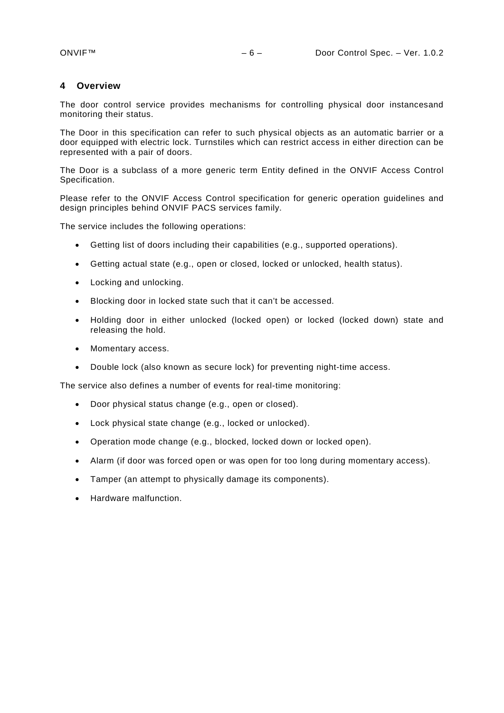## <span id="page-5-0"></span>**4 Overview**

The door control service provides mechanisms for controlling physical door instancesand monitoring their status.

The Door in this specification can refer to such physical objects as an automatic barrier or a door equipped with electric lock. Turnstiles which can restrict access in either direction can be represented with a pair of doors.

The Door is a subclass of a more generic term Entity defined in the ONVIF Access Control Specification.

Please refer to the ONVIF Access Control specification for generic operation guidelines and design principles behind ONVIF PACS services family.

The service includes the following operations:

- Getting list of doors including their capabilities (e.g., supported operations).
- Getting actual state (e.g., open or closed, locked or unlocked, health status).
- Locking and unlocking.
- Blocking door in locked state such that it can't be accessed.
- Holding door in either unlocked (locked open) or locked (locked down) state and releasing the hold.
- Momentary access.
- Double lock (also known as secure lock) for preventing night-time access.

The service also defines a number of events for real-time monitoring:

- Door physical status change (e.g., open or closed).
- Lock physical state change (e.g., locked or unlocked).
- Operation mode change (e.g., blocked, locked down or locked open).
- Alarm (if door was forced open or was open for too long during momentary access).
- Tamper (an attempt to physically damage its components).
- Hardware malfunction.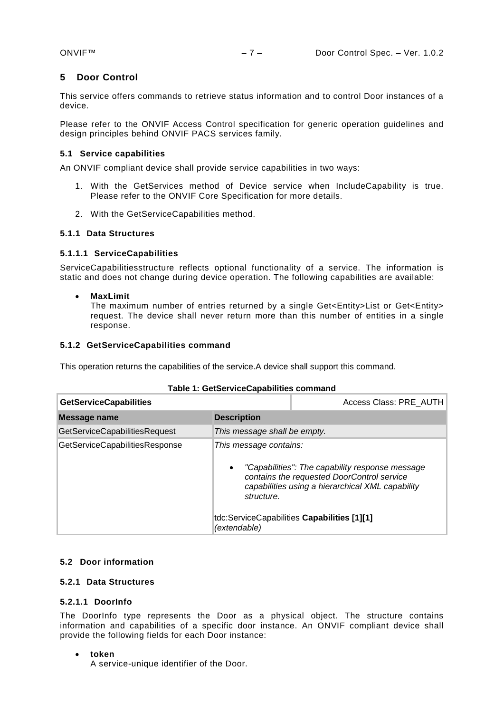## <span id="page-6-0"></span>**5 Door Control**

This service offers commands to retrieve status information and to control Door instances of a device.

Please refer to the ONVIF Access Control specification for generic operation guidelines and design principles behind ONVIF PACS services family.

## <span id="page-6-1"></span>**5.1 Service capabilities**

An ONVIF compliant device shall provide service capabilities in two ways:

- 1. With the GetServices method of Device service when IncludeCapability is true. Please refer to the ONVIF Core Specification for more details.
- 2. With the GetServiceCapabilities method.

## <span id="page-6-2"></span>**5.1.1 Data Structures**

## **5.1.1.1 ServiceCapabilities**

ServiceCapabilitiesstructure reflects optional functionality of a service. The information is static and does not change during device operation. The following capabilities are available:

• **MaxLimit**

The maximum number of entries returned by a single Get<Entity>List or Get<Entity> request. The device shall never return more than this number of entities in a single response.

## <span id="page-6-3"></span>**5.1.2 GetServiceCapabilities command**

This operation returns the capabilities of the service.A device shall support this command.

| <b>GetServiceCapabilities</b>  |                                                   | Access Class: PRE AUTH                                                                                                                            |  |
|--------------------------------|---------------------------------------------------|---------------------------------------------------------------------------------------------------------------------------------------------------|--|
| Message name                   | <b>Description</b>                                |                                                                                                                                                   |  |
| GetServiceCapabilitiesRequest  |                                                   | This message shall be empty.                                                                                                                      |  |
| GetServiceCapabilitiesResponse | This message contains:<br>$\bullet$<br>structure. | "Capabilities": The capability response message<br>contains the requested DoorControl service<br>capabilities using a hierarchical XML capability |  |
|                                | (extendable)                                      | tdc:ServiceCapabilities Capabilities [1][1]                                                                                                       |  |

## **Table 1: GetServiceCapabilities command**

## <span id="page-6-4"></span>**5.2 Door information**

## <span id="page-6-5"></span>**5.2.1 Data Structures**

## **5.2.1.1 DoorInfo**

The DoorInfo type represents the Door as a physical object. The structure contains information and capabilities of a specific door instance. An ONVIF compliant device shall provide the following fields for each Door instance:

• **token**

A service-unique identifier of the Door.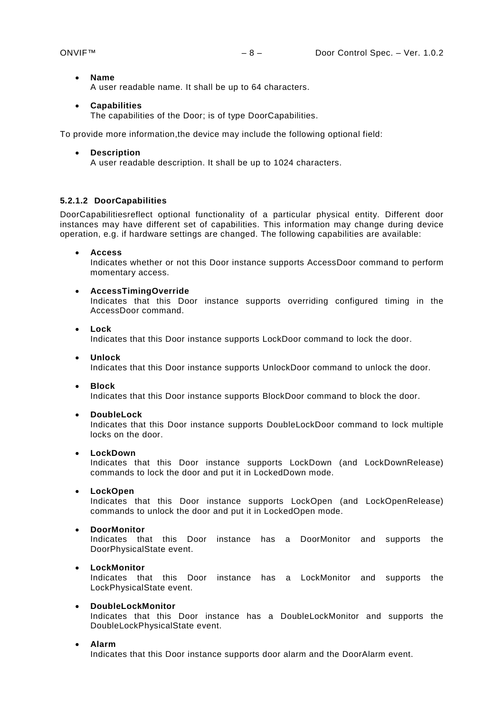- **Name** A user readable name. It shall be up to 64 characters.
- **Capabilities**

The capabilities of the Door; is of type DoorCapabilities.

To provide more information,the device may include the following optional field:

#### • **Description**

A user readable description. It shall be up to 1024 characters.

## **5.2.1.2 DoorCapabilities**

DoorCapabilitiesreflect optional functionality of a particular physical entity. Different door instances may have different set of capabilities. This information may change during device operation, e.g. if hardware settings are changed. The following capabilities are available:

• **Access**

Indicates whether or not this Door instance supports AccessDoor command to perform momentary access.

• **AccessTimingOverride**

Indicates that this Door instance supports overriding configured timing in the AccessDoor command.

• **Lock**

Indicates that this Door instance supports LockDoor command to lock the door.

• **Unlock**

Indicates that this Door instance supports UnlockDoor command to unlock the door.

• **Block**

Indicates that this Door instance supports BlockDoor command to block the door.

• **DoubleLock**

Indicates that this Door instance supports DoubleLockDoor command to lock multiple locks on the door.

• **LockDown**

Indicates that this Door instance supports LockDown (and LockDownRelease) commands to lock the door and put it in LockedDown mode.

• **LockOpen**

Indicates that this Door instance supports LockOpen (and LockOpenRelease) commands to unlock the door and put it in LockedOpen mode.

• **DoorMonitor**

Indicates that this Door instance has a DoorMonitor and supports the DoorPhysicalState event.

• **LockMonitor**

Indicates that this Door instance has a LockMonitor and supports the LockPhysicalState event.

#### • **DoubleLockMonitor**

Indicates that this Door instance has a DoubleLockMonitor and supports the DoubleLockPhysicalState event.

#### • **Alarm**

Indicates that this Door instance supports door alarm and the DoorAlarm event.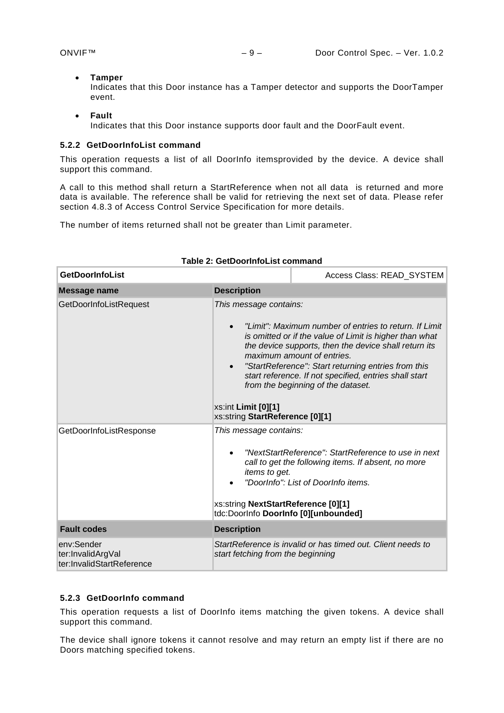#### • **Tamper**

Indicates that this Door instance has a Tamper detector and supports the DoorTamper event.

- **Fault**
	- Indicates that this Door instance supports door fault and the DoorFault event.

## <span id="page-8-0"></span>**5.2.2 GetDoorInfoList command**

This operation requests a list of all DoorInfo itemsprovided by the device. A device shall support this command.

A call to this method shall return a StartReference when not all data is returned and more data is available. The reference shall be valid for retrieving the next set of data. Please refer section 4.8.3 of Access Control Service Specification for more details.

The number of items returned shall not be greater than Limit parameter.

| <b>GetDoorInfoList</b>                                       |                                                                                                                                                                                                                                                                                                                                                                                                                                                     | Access Class: READ SYSTEM                                   |
|--------------------------------------------------------------|-----------------------------------------------------------------------------------------------------------------------------------------------------------------------------------------------------------------------------------------------------------------------------------------------------------------------------------------------------------------------------------------------------------------------------------------------------|-------------------------------------------------------------|
| <b>Message name</b>                                          | <b>Description</b>                                                                                                                                                                                                                                                                                                                                                                                                                                  |                                                             |
| GetDoorInfoListRequest                                       | This message contains:<br>"Limit": Maximum number of entries to return. If Limit<br>is omitted or if the value of Limit is higher than what<br>the device supports, then the device shall return its<br>maximum amount of entries.<br>"StartReference": Start returning entries from this<br>start reference. If not specified, entries shall start<br>from the beginning of the dataset.<br>xs:int Limit [0][1]<br>xs:string StartReference [0][1] |                                                             |
| GetDoorInfoListResponse                                      | This message contains:<br>"NextStartReference": StartReference to use in next<br>call to get the following items. If absent, no more<br>items to get.<br>"DoorInfo": List of DoorInfo items.<br>xs:string NextStartReference [0][1]<br>tdc:DoorInfo DoorInfo [0][unbounded]                                                                                                                                                                         |                                                             |
| <b>Fault codes</b>                                           | <b>Description</b>                                                                                                                                                                                                                                                                                                                                                                                                                                  |                                                             |
| env:Sender<br>ter:InvalidArgVal<br>ter:InvalidStartReference | start fetching from the beginning                                                                                                                                                                                                                                                                                                                                                                                                                   | StartReference is invalid or has timed out. Client needs to |

## **Table 2: GetDoorInfoList command**

## <span id="page-8-1"></span>**5.2.3 GetDoorInfo command**

This operation requests a list of DoorInfo items matching the given tokens. A device shall support this command.

The device shall ignore tokens it cannot resolve and may return an empty list if there are no Doors matching specified tokens.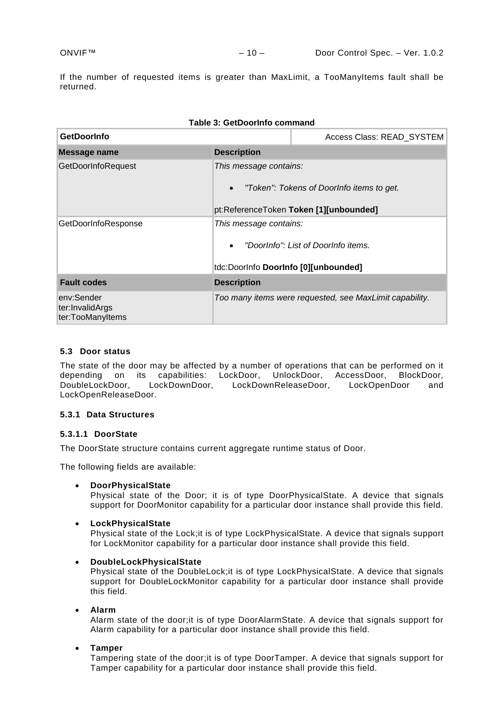If the number of requested items is greater than MaxLimit, a TooManyItems fault shall be returned.

| Table 3: GetDoorInfo command                      |                                                                                                                            |                                                         |  |  |
|---------------------------------------------------|----------------------------------------------------------------------------------------------------------------------------|---------------------------------------------------------|--|--|
| <b>GetDoorInfo</b>                                |                                                                                                                            | Access Class: READ_SYSTEM                               |  |  |
| Message name                                      | <b>Description</b>                                                                                                         |                                                         |  |  |
| GetDoorInfoRequest                                | This message contains:<br>"Token": Tokens of DoorInfo items to get.<br>$\bullet$<br>pt:ReferenceToken Token [1][unbounded] |                                                         |  |  |
| GetDoorInfoResponse                               | This message contains:<br>"DoorInfo": List of DoorInfo items.<br>$\bullet$<br>tdc:DoorInfo DoorInfo [0][unbounded]         |                                                         |  |  |
| <b>Fault codes</b>                                | <b>Description</b>                                                                                                         |                                                         |  |  |
| env:Sender<br>ter:InvalidArgs<br>ter:TooManyItems |                                                                                                                            | Too many items were requested, see MaxLimit capability. |  |  |

## <span id="page-9-0"></span>**5.3 Door status**

The state of the door may be affected by a number of operations that can be performed on it depending on its capabilities: LockDoor, UnlockDoor, AccessDoor, BlockDoor,<br>DoubleLockDoor, LockDownDoor, LockDownReleaseDoor, LockOpenDoor and LockDownDoor, LockDownReleaseDoor, LockOpenDoor and LockOpenReleaseDoor.

## <span id="page-9-1"></span>**5.3.1 Data Structures**

## **5.3.1.1 DoorState**

The DoorState structure contains current aggregate runtime status of Door.

The following fields are available:

• **DoorPhysicalState**

Physical state of the Door; it is of type DoorPhysicalState. A device that signals support for DoorMonitor capability for a particular door instance shall provide this field.

## • **LockPhysicalState**

Physical state of the Lock;it is of type LockPhysicalState. A device that signals support for LockMonitor capability for a particular door instance shall provide this field.

• **DoubleLockPhysicalState**

Physical state of the DoubleLock;it is of type LockPhysicalState. A device that signals support for DoubleLockMonitor capability for a particular door instance shall provide this field.

• **Alarm**

Alarm state of the door;it is of type DoorAlarmState. A device that signals support for Alarm capability for a particular door instance shall provide this field.

• **Tamper**

Tampering state of the door;it is of type DoorTamper. A device that signals support for Tamper capability for a particular door instance shall provide this field.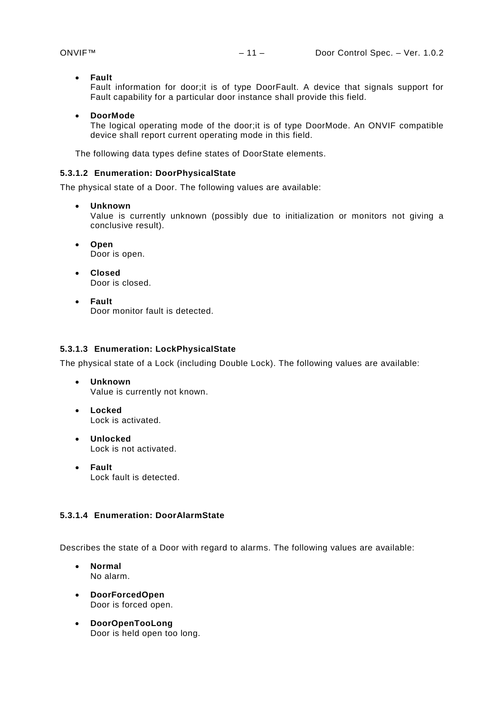• **Fault**

Fault information for door;it is of type DoorFault. A device that signals support for Fault capability for a particular door instance shall provide this field.

#### • **DoorMode**

The logical operating mode of the door;it is of type DoorMode. An ONVIF compatible device shall report current operating mode in this field.

The following data types define states of DoorState elements.

## **5.3.1.2 Enumeration: DoorPhysicalState**

The physical state of a Door. The following values are available:

• **Unknown**

Value is currently unknown (possibly due to initialization or monitors not giving a conclusive result).

- **Open** Door is open.
- **Closed** Door is closed.
- **Fault** Door monitor fault is detected.

#### **5.3.1.3 Enumeration: LockPhysicalState**

The physical state of a Lock (including Double Lock). The following values are available:

- **Unknown** Value is currently not known.
- **Locked** Lock is activated.
- **Unlocked** Lock is not activated.
- **Fault** Lock fault is detected.

## **5.3.1.4 Enumeration: DoorAlarmState**

Describes the state of a Door with regard to alarms. The following values are available:

- **Normal** No alarm.
- **DoorForcedOpen** Door is forced open.
- **DoorOpenTooLong** Door is held open too long.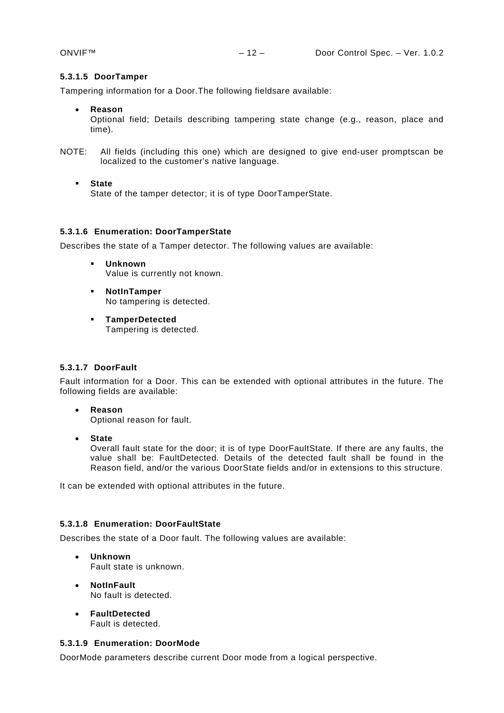## **5.3.1.5 DoorTamper**

Tampering information for a Door.The following fieldsare available:

• **Reason**

Optional field; Details describing tampering state change (e.g., reason, place and time).

- NOTE: All fields (including this one) which are designed to give end-user promptscan be localized to the customer's native language.
	- **State**

State of the tamper detector; it is of type DoorTamperState.

## **5.3.1.6 Enumeration: DoorTamperState**

Describes the state of a Tamper detector. The following values are available:

- **Unknown** Value is currently not known.
- **NotInTamper** No tampering is detected.
- **TamperDetected** Tampering is detected.

## **5.3.1.7 DoorFault**

Fault information for a Door. This can be extended with optional attributes in the future. The following fields are available:

- **Reason** Optional reason for fault.
- **State**

Overall fault state for the door; it is of type DoorFaultState. If there are any faults, the value shall be: FaultDetected. Details of the detected fault shall be found in the Reason field, and/or the various DoorState fields and/or in extensions to this structure.

It can be extended with optional attributes in the future.

## **5.3.1.8 Enumeration: DoorFaultState**

Describes the state of a Door fault. The following values are available:

- **Unknown** Fault state is unknown.
- **NotInFault** No fault is detected.
- **FaultDetected** Fault is detected.

## <span id="page-11-0"></span>**5.3.1.9 Enumeration: DoorMode**

DoorMode parameters describe current Door mode from a logical perspective.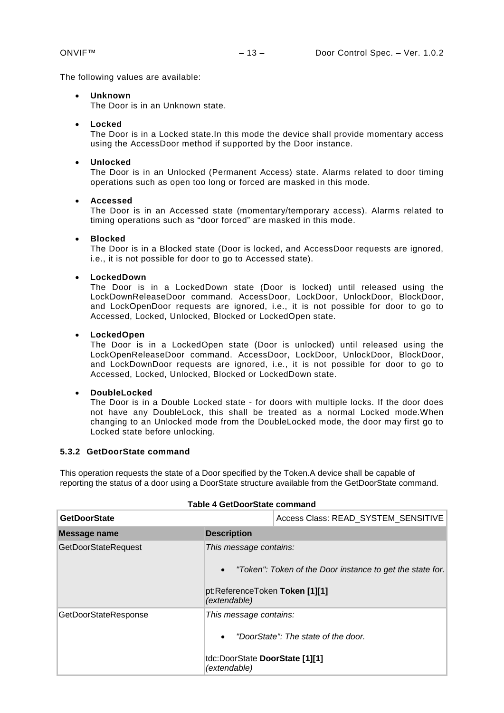The following values are available:

## • **Unknown**

The Door is in an Unknown state.

<span id="page-12-2"></span>• **Locked**

The Door is in a Locked state.In this mode the device shall provide momentary access using the AccessDoor method if supported by the Door instance.

#### <span id="page-12-3"></span>• **Unlocked**

The Door is in an Unlocked (Permanent Access) state. Alarms related to door timing operations such as open too long or forced are masked in this mode.

#### <span id="page-12-1"></span>• **Accessed**

The Door is in an Accessed state (momentary/temporary access). Alarms related to timing operations such as "door forced" are masked in this mode.

#### <span id="page-12-4"></span>• **Blocked**

The Door is in a Blocked state (Door is locked, and AccessDoor requests are ignored, i.e., it is not possible for door to go to Accessed state).

#### <span id="page-12-5"></span>• **LockedDown**

The Door is in a LockedDown state (Door is locked) until released using the LockDownReleaseDoor command. AccessDoor, LockDoor, UnlockDoor, BlockDoor, and LockOpenDoor requests are ignored, i.e., it is not possible for door to go to Accessed, Locked, Unlocked, Blocked or LockedOpen state.

#### <span id="page-12-6"></span>• **LockedOpen**

The Door is in a LockedOpen state (Door is unlocked) until released using the LockOpenReleaseDoor command. AccessDoor, LockDoor, UnlockDoor, BlockDoor, and LockDownDoor requests are ignored, i.e., it is not possible for door to go to Accessed, Locked, Unlocked, Blocked or LockedDown state.

#### <span id="page-12-7"></span>• **DoubleLocked**

The Door is in a Double Locked state - for doors with multiple locks. If the door does not have any DoubleLock, this shall be treated as a normal Locked mode.When changing to an Unlocked mode from the DoubleLocked mode, the door may first go to Locked state before unlocking.

## <span id="page-12-0"></span>**5.3.2 GetDoorState command**

This operation requests the state of a Door specified by the Token.A device shall be capable of reporting the status of a door using a DoorState structure available from the GetDoorState command.

| <b>GetDoorState</b>                                                         |                           | Access Class: READ_SYSTEM_SENSITIVE                                                                                   |  |
|-----------------------------------------------------------------------------|---------------------------|-----------------------------------------------------------------------------------------------------------------------|--|
| Message name                                                                | <b>Description</b>        |                                                                                                                       |  |
| <b>GetDoorStateRequest</b>                                                  | $\bullet$<br>(extendable) | This message contains:<br>"Token": Token of the Door instance to get the state for.<br>pt:ReferenceToken Token [1][1] |  |
| GetDoorStateResponse<br>This message contains:<br>$\bullet$<br>(extendable) |                           | "DoorState": The state of the door.<br>tdc:DoorState DoorState [1][1]                                                 |  |

## **Table 4 GetDoorState command**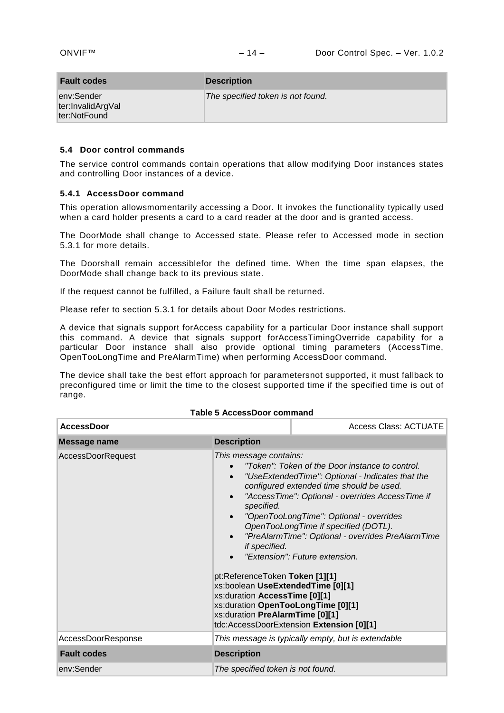| <b>Fault codes</b>                              | <b>Description</b>                |
|-------------------------------------------------|-----------------------------------|
| env:Sender<br>ter:InvalidArgVal<br>ter:NotFound | The specified token is not found. |

#### <span id="page-13-0"></span>**5.4 Door control commands**

The service control commands contain operations that allow modifying Door instances states and controlling Door instances of a device.

## <span id="page-13-1"></span>**5.4.1 AccessDoor command**

This operation allowsmomentarily accessing a Door. It invokes the functionality typically used when a card holder presents a card to a card reader at the door and is granted access.

The DoorMode shall change to Accessed state. Please refer to [Accessed](#page-12-1) mode in section [5.3.1](#page-11-0) for more details.

The Doorshall remain accessiblefor the defined time. When the time span elapses, the DoorMode shall change back to its previous state.

If the request cannot be fulfilled, a Failure fault shall be returned.

Please refer to section [5.3.1](#page-11-0) for details about Door Modes restrictions.

A device that signals support forAccess capability for a particular Door instance shall support this command. A device that signals support forAccessTimingOverride capability for a particular Door instance shall also provide optional timing parameters (AccessTime, OpenTooLongTime and PreAlarmTime) when performing AccessDoor command.

The device shall take the best effort approach for parametersnot supported, it must fallback to preconfigured time or limit the time to the closest supported time if the specified time is out of range.

| <b>AccessDoor</b>        |                                                                                                                                                                                                                                                                                            | Access Class: ACTUATE                                                                                                                                                                                                                                                                                                                                                                                                     |
|--------------------------|--------------------------------------------------------------------------------------------------------------------------------------------------------------------------------------------------------------------------------------------------------------------------------------------|---------------------------------------------------------------------------------------------------------------------------------------------------------------------------------------------------------------------------------------------------------------------------------------------------------------------------------------------------------------------------------------------------------------------------|
| <b>Message name</b>      | <b>Description</b>                                                                                                                                                                                                                                                                         |                                                                                                                                                                                                                                                                                                                                                                                                                           |
| <b>AccessDoorRequest</b> | This message contains:<br>$\bullet$<br>$\bullet$<br>specified.<br>$\bullet$<br>$\bullet$<br>if specified.<br>pt:ReferenceToken Token [1][1]<br>xs:boolean UseExtendedTime [0][1]<br>xs:duration AccessTime [0][1]<br>xs:duration OpenTooLongTime [0][1]<br>xs:duration PreAlarmTime [0][1] | "Token": Token of the Door instance to control.<br>"UseExtendedTime": Optional - Indicates that the<br>configured extended time should be used.<br>"AccessTime": Optional - overrides AccessTime if<br>"OpenTooLongTime": Optional - overrides<br>OpenTooLongTime if specified (DOTL).<br>"PreAlarmTime": Optional - overrides PreAlarmTime<br>"Extension": Future extension.<br>tdc:AccessDoorExtension Extension [0][1] |
| AccessDoorResponse       | This message is typically empty, but is extendable                                                                                                                                                                                                                                         |                                                                                                                                                                                                                                                                                                                                                                                                                           |
| <b>Fault codes</b>       | <b>Description</b>                                                                                                                                                                                                                                                                         |                                                                                                                                                                                                                                                                                                                                                                                                                           |
| env:Sender               | The specified token is not found.                                                                                                                                                                                                                                                          |                                                                                                                                                                                                                                                                                                                                                                                                                           |

## **Table 5 AccessDoor command**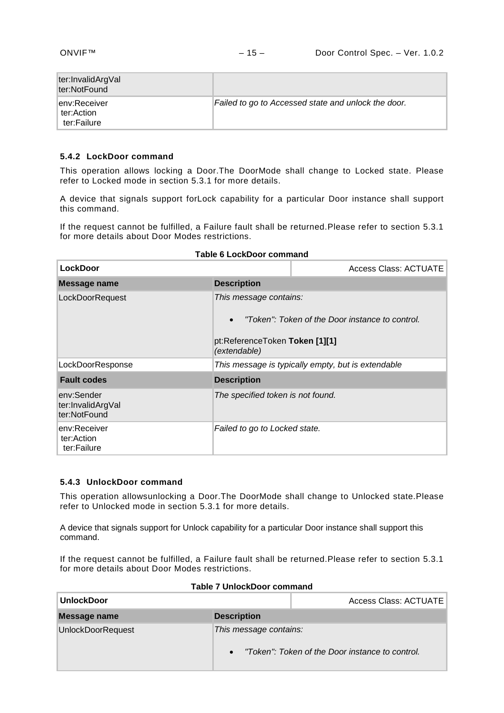| ter:InvalidArgVal<br>ter:NotFound          |                                                     |
|--------------------------------------------|-----------------------------------------------------|
| lenv:Receiver<br>ter:Action<br>ter:Failure | Failed to go to Accessed state and unlock the door. |

## <span id="page-14-2"></span><span id="page-14-0"></span>**5.4.2 LockDoor command**

This operation allows locking a Door.The DoorMode shall change to Locked state. Please refer to [Locked](#page-12-2) mode in section [5.3.1](#page-11-0) for more details.

A device that signals support forLock capability for a particular Door instance shall support this command.

If the request cannot be fulfilled, a Failure fault shall be returned.Please refer to section [5.3.1](#page-11-0) for more details about Door Modes restrictions.

| <b>LockDoor</b>                                 |                                                                                                                             | Access Class: ACTUATE |
|-------------------------------------------------|-----------------------------------------------------------------------------------------------------------------------------|-----------------------|
| Message name                                    | <b>Description</b>                                                                                                          |                       |
| LockDoorRequest                                 | This message contains:<br>"Token": Token of the Door instance to control.<br>pt:ReferenceToken Token [1][1]<br>(extendable) |                       |
| LockDoorResponse                                | This message is typically empty, but is extendable                                                                          |                       |
| <b>Fault codes</b>                              | <b>Description</b>                                                                                                          |                       |
| env:Sender<br>ter:InvalidArgVal<br>ter:NotFound | The specified token is not found.                                                                                           |                       |
| env:Receiver<br>ter:Action<br>ter:Failure       | Failed to go to Locked state.                                                                                               |                       |

#### **Table 6 LockDoor command**

## <span id="page-14-1"></span>**5.4.3 UnlockDoor command**

This operation allowsunlocking a Door.The DoorMode shall change to Unlocked state.Please refer to [Unlocked](#page-12-3) mode in section [5.3.1](#page-11-0) for more details.

A device that signals support for Unlock capability for a particular Door instance shall support this command.

If the request cannot be fulfilled, a Failure fault shall be returned.Please refer to section [5.3.1](#page-11-0) for more details about Door Modes restrictions.

| <b>UnlockDoor</b> |                        | Access Class: ACTUATE                           |
|-------------------|------------------------|-------------------------------------------------|
| Message name      | <b>Description</b>     |                                                 |
| UnlockDoorRequest | This message contains: | "Token": Token of the Door instance to control. |

#### **Table 7 UnlockDoor command**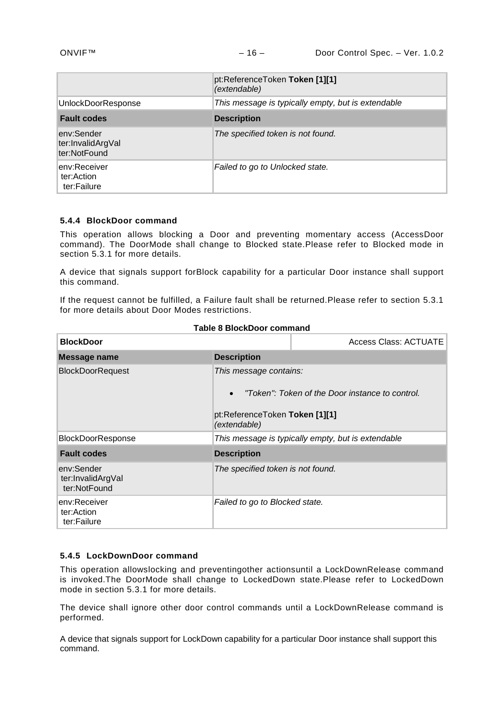|                                                 | pt:ReferenceToken Token [1][1]<br>(extendable)     |
|-------------------------------------------------|----------------------------------------------------|
| UnlockDoorResponse                              | This message is typically empty, but is extendable |
| <b>Fault codes</b>                              | <b>Description</b>                                 |
| env:Sender<br>ter:InvalidArgVal<br>ter:NotFound | The specified token is not found.                  |
| env:Receiver<br>ter:Action<br>ter:Failure       | Failed to go to Unlocked state.                    |

## <span id="page-15-0"></span>**5.4.4 BlockDoor command**

This operation allows blocking a Door and preventing momentary access (AccessDoor command). The DoorMode shall change to Blocked state.Please refer to [Blocked](#page-12-4) mode in section [5.3.1](#page-11-0) for more details.

A device that signals support forBlock capability for a particular Door instance shall support this command.

If the request cannot be fulfilled, a Failure fault shall be returned.Please refer to section [5.3.1](#page-11-0) for more details about Door Modes restrictions.

| <b>BlockDoor</b>                                |                                                                                       | Access Class: ACTUATE                              |
|-------------------------------------------------|---------------------------------------------------------------------------------------|----------------------------------------------------|
| Message name                                    | <b>Description</b>                                                                    |                                                    |
| <b>BlockDoorRequest</b>                         | This message contains:<br>$\bullet$<br>pt:ReferenceToken Token [1][1]<br>(extendable) | "Token": Token of the Door instance to control.    |
| <b>BlockDoorResponse</b>                        |                                                                                       | This message is typically empty, but is extendable |
| <b>Fault codes</b>                              | <b>Description</b>                                                                    |                                                    |
| env:Sender<br>ter:InvalidArgVal<br>ter:NotFound | The specified token is not found.                                                     |                                                    |
| env:Receiver<br>ter:Action<br>ter:Failure       | Failed to go to Blocked state.                                                        |                                                    |

#### **Table 8 BlockDoor command**

## <span id="page-15-1"></span>**5.4.5 LockDownDoor command**

This operation allowslocking and preventingother actionsuntil a LockDownRelease command is invoked.The DoorMode shall change to LockedDown state.Please refer to [LockedDown](#page-12-5) mode in section [5.3.1](#page-11-0) for more details.

The device shall ignore other door control commands until a LockDownRelease command is performed.

A device that signals support for LockDown capability for a particular Door instance shall support this command.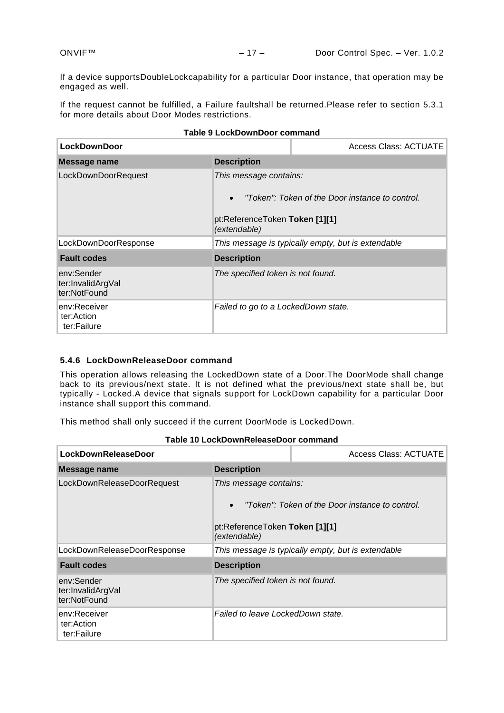If a device supportsDoubleLockcapability for a particular Door instance, that operation may be engaged as well.

If the request cannot be fulfilled, a Failure faultshall be returned.Please refer to section [5.3.1](#page-11-0) for more details about Door Modes restrictions.

| <b>LockDownDoor</b>                             |                                                                                       | <b>Access Class: ACTUATE</b>                       |
|-------------------------------------------------|---------------------------------------------------------------------------------------|----------------------------------------------------|
| Message name                                    | <b>Description</b>                                                                    |                                                    |
| LockDownDoorRequest                             | This message contains:<br>$\bullet$<br>pt:ReferenceToken Token [1][1]<br>(extendable) | "Token": Token of the Door instance to control.    |
| LockDownDoorResponse                            |                                                                                       | This message is typically empty, but is extendable |
| <b>Fault codes</b>                              | <b>Description</b>                                                                    |                                                    |
| env:Sender<br>ter:InvalidArgVal<br>ter:NotFound | The specified token is not found.                                                     |                                                    |
| env:Receiver<br>ter:Action<br>ter:Failure       | Failed to go to a LockedDown state.                                                   |                                                    |

#### **Table 9 LockDownDoor command**

## <span id="page-16-0"></span>**5.4.6 LockDownReleaseDoor command**

This operation allows releasing the LockedDown state of a Door.The DoorMode shall change back to its previous/next state. It is not defined what the previous/next state shall be, but typically - Locked.A device that signals support for LockDown capability for a particular Door instance shall support this command.

This method shall only succeed if the current DoorMode is LockedDown.

| <b>LockDownReleaseDoor</b>                      |                                                                                       | Access Class: ACTUATE                              |
|-------------------------------------------------|---------------------------------------------------------------------------------------|----------------------------------------------------|
| Message name                                    | <b>Description</b>                                                                    |                                                    |
| LockDownReleaseDoorRequest                      | This message contains:<br>$\bullet$<br>pt:ReferenceToken Token [1][1]<br>(extendable) | "Token": Token of the Door instance to control.    |
| LockDownReleaseDoorResponse                     |                                                                                       | This message is typically empty, but is extendable |
| <b>Fault codes</b>                              | <b>Description</b>                                                                    |                                                    |
| env:Sender<br>ter:InvalidArgVal<br>ter:NotFound | The specified token is not found.                                                     |                                                    |
| env:Receiver<br>ter:Action<br>ter:Failure       | Failed to leave LockedDown state.                                                     |                                                    |

**Table 10 LockDownReleaseDoor command**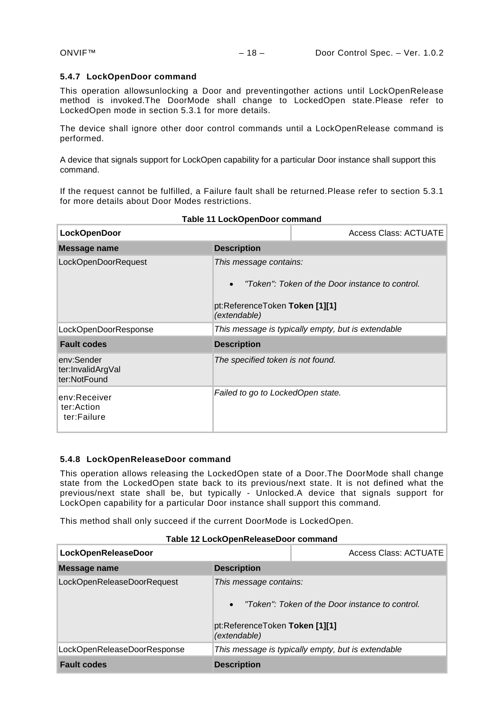## <span id="page-17-0"></span>**5.4.7 LockOpenDoor command**

This operation allowsunlocking a Door and preventingother actions until LockOpenRelease method is invoked.The DoorMode shall change to LockedOpen state.Please refer to [LockedOpen](#page-12-6) mode in section [5.3.1](#page-11-0) for more details.

The device shall ignore other door control commands until a LockOpenRelease command is performed.

A device that signals support for LockOpen capability for a particular Door instance shall support this command.

If the request cannot be fulfilled, a Failure fault shall be returned.Please refer to section [5.3.1](#page-11-0) for more details about Door Modes restrictions.

| <b>LockOpenDoor</b>                             |                                                                                       | Access Class: ACTUATE                              |
|-------------------------------------------------|---------------------------------------------------------------------------------------|----------------------------------------------------|
| <b>Message name</b>                             | <b>Description</b>                                                                    |                                                    |
| LockOpenDoorRequest                             | This message contains:<br>$\bullet$<br>pt:ReferenceToken Token [1][1]<br>(extendable) | "Token": Token of the Door instance to control.    |
| LockOpenDoorResponse                            |                                                                                       | This message is typically empty, but is extendable |
| <b>Fault codes</b>                              | <b>Description</b>                                                                    |                                                    |
| env:Sender<br>ter:InvalidArgVal<br>ter:NotFound | The specified token is not found.                                                     |                                                    |
| env:Receiver<br>ter:Action<br>ter:Failure       | Failed to go to LockedOpen state.                                                     |                                                    |

## **Table 11 LockOpenDoor command**

## <span id="page-17-1"></span>**5.4.8 LockOpenReleaseDoor command**

This operation allows releasing the LockedOpen state of a Door.The DoorMode shall change state from the LockedOpen state back to its previous/next state. It is not defined what the previous/next state shall be, but typically - Unlocked.A device that signals support for LockOpen capability for a particular Door instance shall support this command.

This method shall only succeed if the current DoorMode is LockedOpen.

#### **Table 12 LockOpenReleaseDoor command**

| LockOpenReleaseDoor         |                                                                                       | <b>Access Class: ACTUATE</b>                       |
|-----------------------------|---------------------------------------------------------------------------------------|----------------------------------------------------|
| Message name                | <b>Description</b>                                                                    |                                                    |
| LockOpenReleaseDoorRequest  | This message contains:<br>$\bullet$<br>pt:ReferenceToken Token [1][1]<br>(extendable) | "Token": Token of the Door instance to control.    |
| LockOpenReleaseDoorResponse |                                                                                       | This message is typically empty, but is extendable |
| <b>Fault codes</b>          | <b>Description</b>                                                                    |                                                    |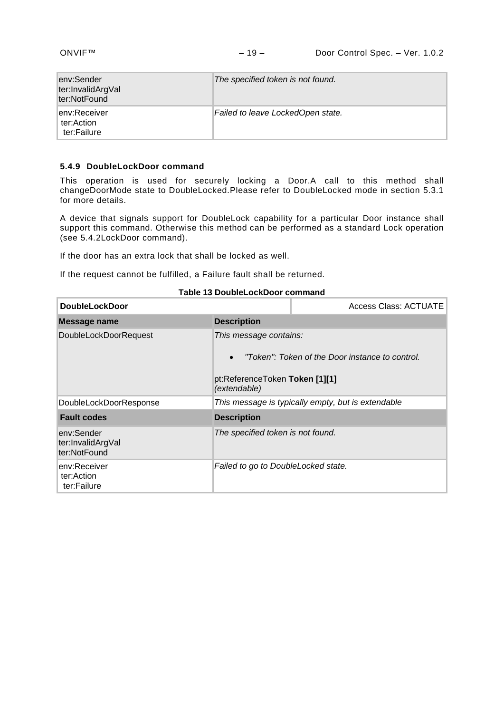| lenv:Sender<br>ter:InvalidArgVal<br>ter:NotFound | The specified token is not found. |
|--------------------------------------------------|-----------------------------------|
| lenv:Receiver<br>ter:Action<br>ter:Failure       | Failed to leave LockedOpen state. |

#### <span id="page-18-0"></span>**5.4.9 DoubleLockDoor command**

This operation is used for securely locking a Door.A call to this method shall changeDoorMode state to DoubleLocked.Please refer to [DoubleLocked](#page-12-7) mode in section [5.3.1](#page-11-0) for more details.

A device that signals support for DoubleLock capability for a particular Door instance shall support this command. Otherwise this method can be performed as a standard Lock operation (see [5.4.2LockDoor command\)](#page-14-2).

If the door has an extra lock that shall be locked as well.

If the request cannot be fulfilled, a Failure fault shall be returned.

| <b>DoubleLockDoor</b>                           |                                                                                       | Access Class: ACTUATE                              |
|-------------------------------------------------|---------------------------------------------------------------------------------------|----------------------------------------------------|
| Message name                                    | <b>Description</b>                                                                    |                                                    |
| <b>DoubleLockDoorRequest</b>                    | This message contains:<br>$\bullet$<br>pt:ReferenceToken Token [1][1]<br>(extendable) | "Token": Token of the Door instance to control.    |
| DoubleLockDoorResponse                          |                                                                                       | This message is typically empty, but is extendable |
| <b>Fault codes</b>                              | <b>Description</b>                                                                    |                                                    |
| env:Sender<br>ter:InvalidArgVal<br>ter:NotFound | The specified token is not found.                                                     |                                                    |
| env:Receiver<br>ter:Action<br>ter:Failure       | Failed to go to DoubleLocked state.                                                   |                                                    |

## **Table 13 DoubleLockDoor command**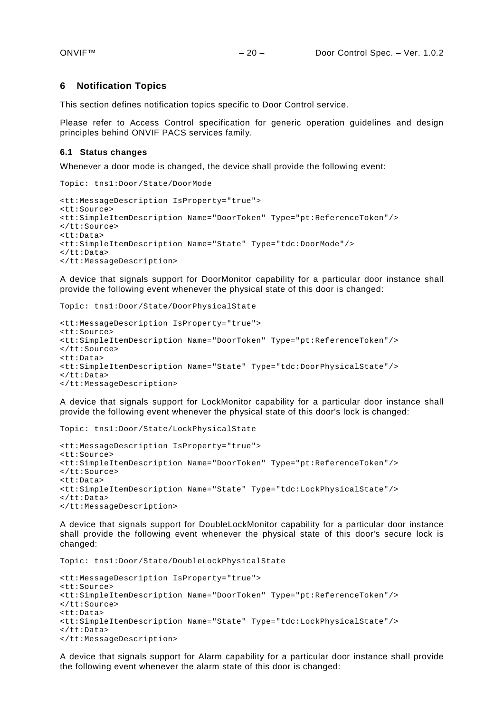#### <span id="page-19-0"></span>**6 Notification Topics**

This section defines notification topics specific to Door Control service.

Please refer to Access Control specification for generic operation guidelines and design principles behind ONVIF PACS services family.

## <span id="page-19-1"></span>**6.1 Status changes**

Whenever a door mode is changed, the device shall provide the following event:

```
Topic: tns1:Door/State/DoorMode
<tt:MessageDescription IsProperty="true">
<tt:Source>
<tt:SimpleItemDescription Name="DoorToken" Type="pt:ReferenceToken"/>
</tt:Source>
<tt:Data>
<tt:SimpleItemDescription Name="State" Type="tdc:DoorMode"/>
</tt:Data>
</tt:MessageDescription>
```
A device that signals support for DoorMonitor capability for a particular door instance shall provide the following event whenever the physical state of this door is changed:

```
Topic: tns1:Door/State/DoorPhysicalState
```

```
<tt:MessageDescription IsProperty="true">
<tt:Source>
<tt:SimpleItemDescription Name="DoorToken" Type="pt:ReferenceToken"/>
</tt:Source>
<tt:Data>
<tt:SimpleItemDescription Name="State" Type="tdc:DoorPhysicalState"/>
</tt:Data>
</tt:MessageDescription>
```
A device that signals support for LockMonitor capability for a particular door instance shall provide the following event whenever the physical state of this door's lock is changed:

```
Topic: tns1:Door/State/LockPhysicalState
<tt:MessageDescription IsProperty="true">
<tt:Source>
<tt:SimpleItemDescription Name="DoorToken" Type="pt:ReferenceToken"/>
</tt:Source>
<tt:Data>
<tt:SimpleItemDescription Name="State" Type="tdc:LockPhysicalState"/>
</tt:Data>
</tt:MessageDescription>
```
A device that signals support for DoubleLockMonitor capability for a particular door instance shall provide the following event whenever the physical state of this door's secure lock is changed:

```
Topic: tns1:Door/State/DoubleLockPhysicalState
<tt:MessageDescription IsProperty="true">
<tt:Source>
<tt:SimpleItemDescription Name="DoorToken" Type="pt:ReferenceToken"/>
</tt:Source>
<tt:Data>
<tt:SimpleItemDescription Name="State" Type="tdc:LockPhysicalState"/>
</tt:Data>
</tt:MessageDescription>
```
A device that signals support for Alarm capability for a particular door instance shall provide the following event whenever the alarm state of this door is changed: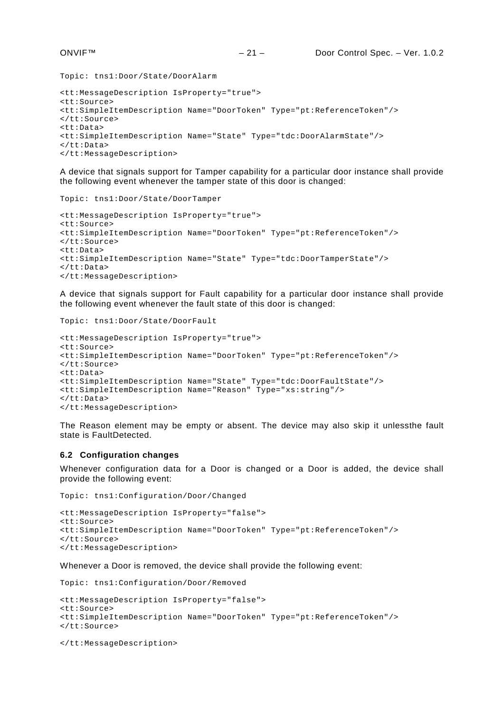Topic: tns1:Door/State/DoorAlarm

```
<tt:MessageDescription IsProperty="true">
<tt:Source>
<tt:SimpleItemDescription Name="DoorToken" Type="pt:ReferenceToken"/>
</tt:Source>
<tt:Data>
<tt:SimpleItemDescription Name="State" Type="tdc:DoorAlarmState"/>
</tt:Data>
</tt:MessageDescription>
```
A device that signals support for Tamper capability for a particular door instance shall provide the following event whenever the tamper state of this door is changed:

```
Topic: tns1:Door/State/DoorTamper
```

```
<tt:MessageDescription IsProperty="true">
<tt:Source>
<tt:SimpleItemDescription Name="DoorToken" Type="pt:ReferenceToken"/>
</tt:Source>
<sub>tf</sub>:<sub>Dat</sub></sub>
<tt:SimpleItemDescription Name="State" Type="tdc:DoorTamperState"/>
</tt:Data>
</tt:MessageDescription>
```
A device that signals support for Fault capability for a particular door instance shall provide the following event whenever the fault state of this door is changed:

```
Topic: tns1:Door/State/DoorFault
```

```
<tt:MessageDescription IsProperty="true">
<tt:Source>
<tt:SimpleItemDescription Name="DoorToken" Type="pt:ReferenceToken"/>
</tt:Source>
<tt:Data>
<tt:SimpleItemDescription Name="State" Type="tdc:DoorFaultState"/>
<tt:SimpleItemDescription Name="Reason" Type="xs:string"/>
</tt:Data>
</tt:MessageDescription>
```
The Reason element may be empty or absent. The device may also skip it unlessthe fault state is FaultDetected.

## <span id="page-20-0"></span>**6.2 Configuration changes**

Whenever configuration data for a Door is changed or a Door is added, the device shall provide the following event:

Topic: tns1:Configuration/Door/Changed

```
<tt:MessageDescription IsProperty="false">
<tt:Source>
<tt:SimpleItemDescription Name="DoorToken" Type="pt:ReferenceToken"/>
</tt:Source>
</tt:MessageDescription>
```
Whenever a Door is removed, the device shall provide the following event:

Topic: tns1:Configuration/Door/Removed

```
<tt:MessageDescription IsProperty="false">
<tt:Source>
<tt:SimpleItemDescription Name="DoorToken" Type="pt:ReferenceToken"/>
</tt:Source>
```
</tt:MessageDescription>